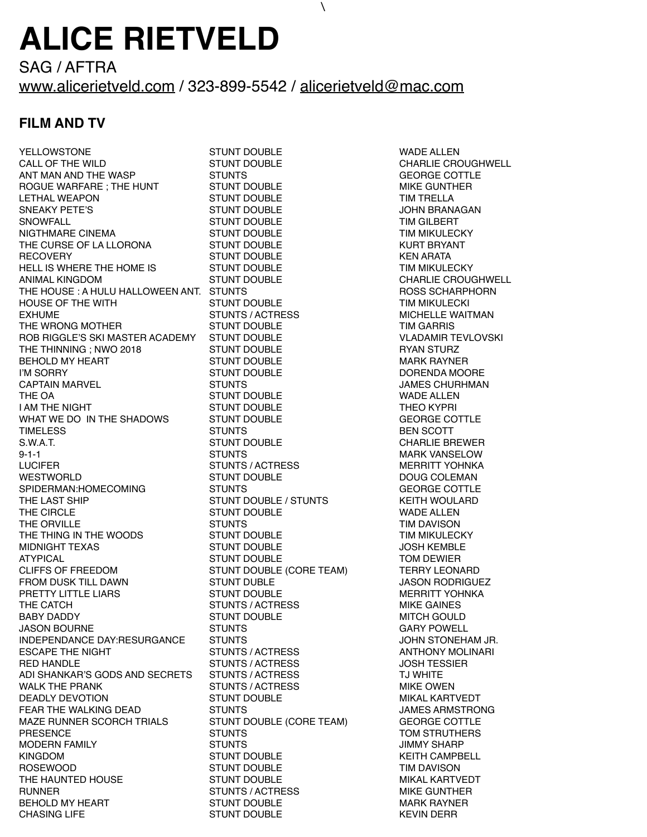## **ALICE RIETVELD**

SAG / AFTRA [www.alicerietveld.com](http://www.alicerietveld.com) / 323-899-5542 / [alicerietveld@mac.com](mailto:alicerietveld@mac.com)

\

## **FILM AND TV**

YELLOWSTONE STUNT DOUBLE WADE ALLEN CALL OF THE WILD **STUNT DOUBLE CHARLIE CROUGHWELL** ANT MAN AND THE WASP STUNTS GEORGE COTTLE SANTENIAL SERVICE SERVICE SERVICE SERVICE SERVICE SERVICE SERVICE SE ROGUE WARFARE ; THE HUNT THE STUNT DOUBLE THE STUNT AND MIKE GUNTHER LETHAL WEAPON STUNT DOUBLE TIM TRELLA SNEAKY PETE'S STUNT DOUBLE STUNT DOUBLE STUNT OUBLE SNOWFALL STUNT DOUBLE TIM GILBERT NIGTHMARE CINEMA STUNT DOUBLE TIM MIKULECKY THE CURSE OF LA LLORONA STUNT DOUBLE STONE STONE AND STONE AND THE CURSE OF LATTERY AND THE STONE STONE STONE T RECOVERY **STUNT DOUBLE KEN ARATA** HELL IS WHERE THE HOME IS STUNT DOUBLE TIM MIKULECKY THE HOUSE : A HULU HALLOWEEN ANT. STUNTS THE ROSS SCHARPHORN HOUSE OF THE WITH THE STUNT DOUBLE TIM MIKULECKI EXHUME STUNTS / ACTRESS MICHELLE WAITMAN MICHELLE WARE SERVICED ASSESS A STUNT OF STUNTS AND MICHELLE WAITMAN THE WRONG MOTHER **STUNT DOUBLE** THE WRONG MOTHER STUNT DOUBLE ROB RIGGLE'S SKI MASTER ACADEMY STUNT DOUBLE VLADAMIR TEVLOVSKI THE THINNING : NWO 2018 **STUNT DOUBLE STUNT DOUBLE** RYAN STURZ BEHOLD MY HEART STUNT DOUBLE STUNT DOUBLE MARK RAYNER I'M SORRY GENERAL BROW STUNT DOUBLE STUNT OUR SAND DORENDA MOORE CAPTAIN MARVEL **STUNTS ARE A STUNTS AND STUNTS** AND MARY STUNTS THE OA GET ALL STUNT DOUBLE THE OA GET ALLEN I AM THE NIGHT STUNT DOUBLE THEO KYPRI WHAT WE DO IN THE SHADOWS STUNT DOUBLE TIME LESS GEORGE COTTLE STUNTS<br>TIMELESS FOR STUNTS TIMELESS BEN SCOTT STUNTS AND STUNTS AND REAL BEN SCOTT S.W.A.T. SAND STUNT DOUBLE SAND THE CHARLIE BREWER 9-1-1 STUNTS MARK VANSELOW LUCIFER STUNTS / ACTRESS MERRITT YOHNKA WESTWORLD STUNT DOUBLE DOUG COLEMAN SPIDERMAN:HOMECOMING STUNTS GEORGE COTTLE THE CIRCLE THE CIRCLE STUNT DOUBLE THE CIRCLE WADE ALLEN THE ORVILLE **THE ORVILLE** THE STUNTS TIM DAVISON THE THING IN THE WOODS TUNT DOUBLE STUNT DOUBLE TIM MIKULECKY MIDNIGHT TEXAS STUNT DOUBLE STUNT DOUBLE AT A STUNT OUR STUNT OUR STUNT OUR STUNT OUR STUNT OF STUNT OUR STUNT ATYPICAL **STUNT DOUBLE** AT A STUNT DOUBLE TOM DEWIER CLIFFS OF FREEDOM STUNT DOUBLE (CORE TEAM) TERRY LEONARD FROM DUSK TILL DAWN STUNT DUBLE JASON RODRIGUEZ PRETTY LITTLE LIARS TUNT DOUBLE STUNT DOUBLE AT A STUNT MERRITT YOHNKA THE CATCH STUNTS / ACTRESS MIKE GAINES BABY DADDY GENERAL BABY DADDY STUNT DOUBLE THE MITCH GOULD JASON BOURNE STUNTS GARY POWELL INDEPENDANCE DAY:RESURGANCE STUNTS **STUNTS** STONEHAM JR. ESCAPE THE NIGHT **STUNTS / ACTRESS** ANTHONY MOLINARI RED HANDLE STUNTS / ACTRESS STUNTS / ACTRESS ACTRESS AND SUCH TESSIER ADI SHANKAR'S GODS AND SECRETS STUNTS / ACTRESS THE STUMBLE TJ WHITE WALK THE PRANK GENERAL STUNTS / ACTRESS AND MIKE OWEN DEADLY DEVOTION STUNT DOUBLE MIKAL KARTVEDT FEAR THE WALKING DEAD STUNTS JAMES ARMSTRONG MAZE RUNNER SCORCH TRIALS STUNT DOUBLE (CORE TEAM) GEORGE COTTLE PRESENCE STUNTS STUNTS TOM STRUTHERS MODERN FAMILY GENERAL STUNTS STUNTS AND STUNTS SHARP KINGDOM STUNT DOUBLE KEITH CAMPBELL ROSEWOOD **STUNT DOUBLE** TIM DAVISON THE HAUNTED HOUSE THE STUNT DOUBLE THE HAUNTED HOUSE THE STUNT OUBLE RUNNER STUNTS / ACTRESS MIKE GUNTHER BEHOLD MY HEART STUNT DOUBLE STUNT DOUBLE MARK RAYNER

STUNT DOUBLE CHARLIE CROUGHWELL STUNT DOUBLE / STUNTS KEITH WOULARD CHASING LIFE STUNT DOUBLE STUNT DOUBLE STUNT ON A STUNT OF STUNT OUBLE